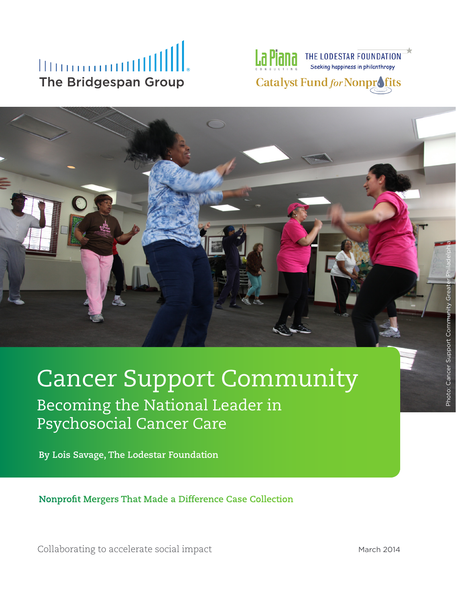## **Illinooooutill The Bridgespan Group**



# Cancer Support Community Becoming the National Leader in Psychosocial Cancer Care

**By Lois Savage, The Lodestar Foundation**

**Nonprofit Mergers That Made a Difference Case Collection**

Collaborating to accelerate social impact Collaborating to accelerate social impact

Photo: Cancer Support Community Greater Philadelphia

Photo: Cancer Support Commun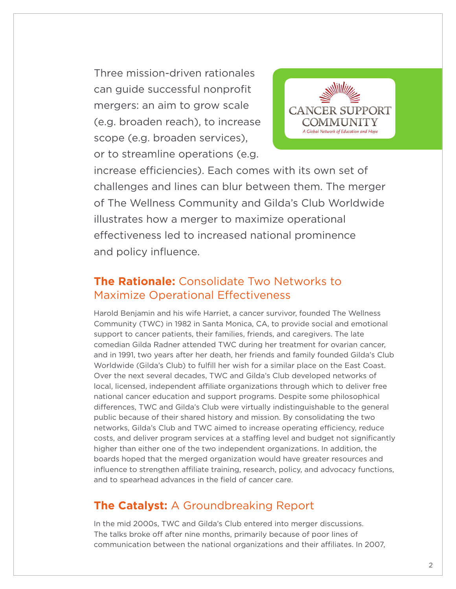Three mission-driven rationales can guide successful nonprofit mergers: an aim to grow scale (e.g. broaden reach), to increase scope (e.g. broaden services), or to streamline operations (e.g.



increase efficiencies). Each comes with its own set of challenges and lines can blur between them. The merger of The Wellness Community and Gilda's Club Worldwide illustrates how a merger to maximize operational effectiveness led to increased national prominence and policy influence.

#### **The Rationale:** Consolidate Two Networks to Maximize Operational Effectiveness

Harold Benjamin and his wife Harriet, a cancer survivor, founded The Wellness Community (TWC) in 1982 in Santa Monica, CA, to provide social and emotional support to cancer patients, their families, friends, and caregivers. The late comedian Gilda Radner attended TWC during her treatment for ovarian cancer, and in 1991, two years after her death, her friends and family founded Gilda's Club Worldwide (Gilda's Club) to fulfill her wish for a similar place on the East Coast. Over the next several decades, TWC and Gilda's Club developed networks of local, licensed, independent affiliate organizations through which to deliver free national cancer education and support programs. Despite some philosophical differences, TWC and Gilda's Club were virtually indistinguishable to the general public because of their shared history and mission. By consolidating the two networks, Gilda's Club and TWC aimed to increase operating efficiency, reduce costs, and deliver program services at a staffing level and budget not significantly higher than either one of the two independent organizations. In addition, the boards hoped that the merged organization would have greater resources and influence to strengthen affiliate training, research, policy, and advocacy functions, and to spearhead advances in the field of cancer care.

### **The Catalyst:** A Groundbreaking Report

In the mid 2000s, TWC and Gilda's Club entered into merger discussions. The talks broke off after nine months, primarily because of poor lines of communication between the national organizations and their affiliates. In 2007,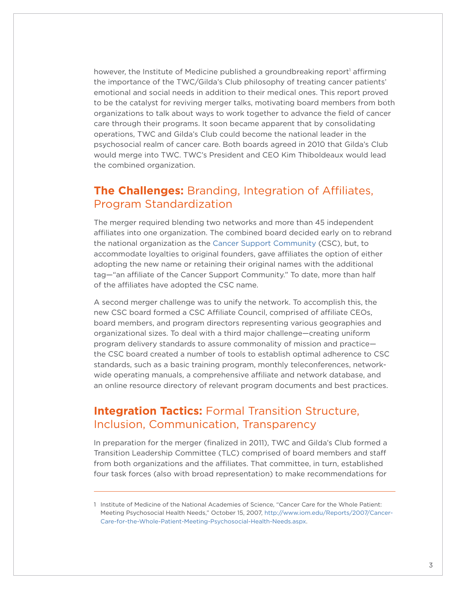however, the Institute of Medicine published a groundbreaking report<sup>1</sup> affirming the importance of the TWC/Gilda's Club philosophy of treating cancer patients' emotional and social needs in addition to their medical ones. This report proved to be the catalyst for reviving merger talks, motivating board members from both organizations to talk about ways to work together to advance the field of cancer care through their programs. It soon became apparent that by consolidating operations, TWC and Gilda's Club could become the national leader in the psychosocial realm of cancer care. Both boards agreed in 2010 that Gilda's Club would merge into TWC. TWC's President and CEO Kim Thiboldeaux would lead the combined organization.

#### **The Challenges:** Branding, Integration of Affiliates, Program Standardization

The merger required blending two networks and more than 45 independent affiliates into one organization. The combined board decided early on to rebrand the national organization as the [Cancer Support Community](http://www.cancersupportcommunity.org) (CSC), but, to accommodate loyalties to original founders, gave affiliates the option of either adopting the new name or retaining their original names with the additional tag—"an affiliate of the Cancer Support Community." To date, more than half of the affiliates have adopted the CSC name.

A second merger challenge was to unify the network. To accomplish this, the new CSC board formed a CSC Affiliate Council, comprised of affiliate CEOs, board members, and program directors representing various geographies and organizational sizes. To deal with a third major challenge—creating uniform program delivery standards to assure commonality of mission and practice the CSC board created a number of tools to establish optimal adherence to CSC standards, such as a basic training program, monthly teleconferences, networkwide operating manuals, a comprehensive affiliate and network database, and an online resource directory of relevant program documents and best practices.

#### **Integration Tactics: Formal Transition Structure,** Inclusion, Communication, Transparency

In preparation for the merger (finalized in 2011), TWC and Gilda's Club formed a Transition Leadership Committee (TLC) comprised of board members and staff from both organizations and the affiliates. That committee, in turn, established four task forces (also with broad representation) to make recommendations for

<sup>1</sup> Institute of Medicine of the National Academies of Science, "Cancer Care for the Whole Patient: Meeting Psychosocial Health Needs," October 15, 2007, [http://www.iom.edu/Reports/2007/Cancer-](http://www.iom.edu/Reports/2007/Cancer-Care-for-the-Whole-Patient-Meeting-Psychosocial-Health-Needs.aspx)[Care-for-the-Whole-Patient-Meeting-Psychosocial-Health-Needs.aspx](http://www.iom.edu/Reports/2007/Cancer-Care-for-the-Whole-Patient-Meeting-Psychosocial-Health-Needs.aspx).